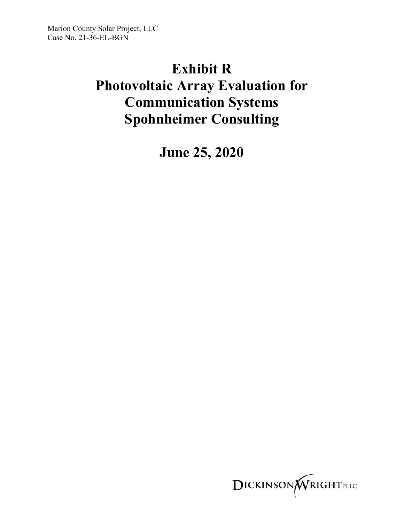Marion County Solar Project, LLC Case No. 21-36-EL-BGN

## **Exhibit R**

# **Photovoltaic Array Evaluation for Communication Systems Spohnheimer Consulting**

**June 25, 2020**

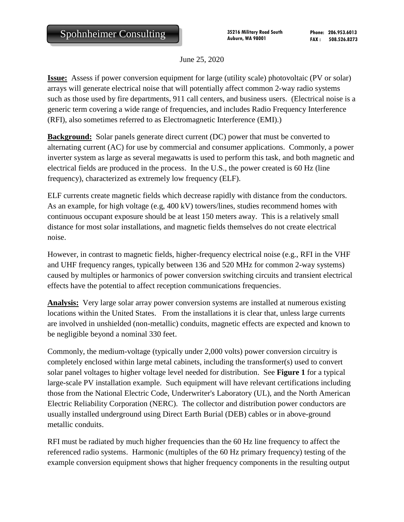June 25, 2020

**Issue:** Assess if power conversion equipment for large (utility scale) photovoltaic (PV or solar) arrays will generate electrical noise that will potentially affect common 2-way radio systems such as those used by fire departments, 911 call centers, and business users. (Electrical noise is a generic term covering a wide range of frequencies, and includes Radio Frequency Interference (RFI), also sometimes referred to as Electromagnetic Interference (EMI).)

**Background:** Solar panels generate direct current (DC) power that must be converted to alternating current (AC) for use by commercial and consumer applications. Commonly, a power inverter system as large as several megawatts is used to perform this task, and both magnetic and electrical fields are produced in the process. In the U.S., the power created is 60 Hz (line frequency), characterized as extremely low frequency (ELF).

ELF currents create magnetic fields which decrease rapidly with distance from the conductors. As an example, for high voltage (e.g, 400 kV) towers/lines, studies recommend homes with continuous occupant exposure should be at least 150 meters away. This is a relatively small distance for most solar installations, and magnetic fields themselves do not create electrical noise.

However, in contrast to magnetic fields, higher-frequency electrical noise (e.g., RFI in the VHF and UHF frequency ranges, typically between 136 and 520 MHz for common 2-way systems) caused by multiples or harmonics of power conversion switching circuits and transient electrical effects have the potential to affect reception communications frequencies.

**Analysis:** Very large solar array power conversion systems are installed at numerous existing locations within the United States. From the installations it is clear that, unless large currents are involved in unshielded (non-metallic) conduits, magnetic effects are expected and known to be negligible beyond a nominal 330 feet.

Commonly, the medium-voltage (typically under 2,000 volts) power conversion circuitry is completely enclosed within large metal cabinets, including the transformer(s) used to convert solar panel voltages to higher voltage level needed for distribution. See **Figure 1** for a typical large-scale PV installation example. Such equipment will have relevant certifications including those from the National Electric Code, Underwriter's Laboratory (UL), and the North American Electric Reliability Corporation (NERC). The collector and distribution power conductors are usually installed underground using Direct Earth Burial (DEB) cables or in above-ground metallic conduits.

RFI must be radiated by much higher frequencies than the 60 Hz line frequency to affect the referenced radio systems. Harmonic (multiples of the 60 Hz primary frequency) testing of the example conversion equipment shows that higher frequency components in the resulting output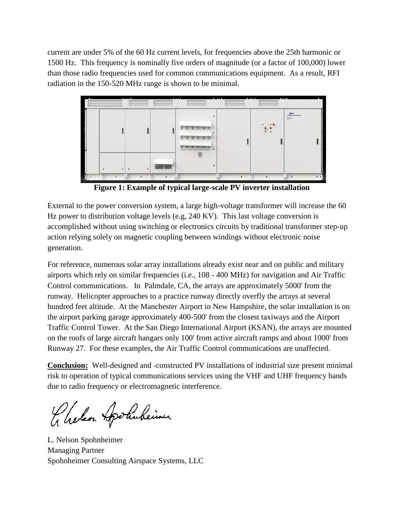current are under 5% of the 60 Hz current levels, for frequencies above the 25th harmonic or 1500 Hz. This frequency is nominally five orders of magnitude (or a factor of 100,000) lower than those radio frequencies used for common communications equipment. As a result, RFI radiation in the 150-520 MHz range is shown to be minimal.



**Figure 1: Example of typical large-scale PV inverter installation**

External to the power conversion system, a large high-voltage transformer will increase the 60 Hz power to distribution voltage levels (e.g, 240 KV). This last voltage conversion is accomplished without using switching or electronics circuits by traditional transformer step-up action relying solely on magnetic coupling between windings without electronic noise generation.

For reference, numerous solar array installations already exist near and on public and military airports which rely on similar frequencies (i.e., 108 - 400 MHz) for navigation and Air Traffic Control communications. In Palmdale, CA, the arrays are approximately 5000' from the runway. Helicopter approaches to a practice runway directly overfly the arrays at several hundred feet altitude. At the Manchester Airport in New Hampshire, the solar installation is on the airport parking garage approximately 400-500' from the closest taxiways and the Airport Traffic Control Tower. At the San Diego International Airport (KSAN), the arrays are mounted on the roofs of large aircraft hangars only 100' from active aircraft ramps and about 1000' from Runway 27. For these examples, the Air Traffic Control communications are unaffected.

**Conclusion:** Well-designed and -constructed PV installations of industrial size present minimal risk to operation of typical communications services using the VHF and UHF frequency bands due to radio frequency or electromagnetic interference.

Chelson Apolubeimer

L. Nelson Spohnheimer Managing Partner Spohnheimer Consulting Airspace Systems, LLC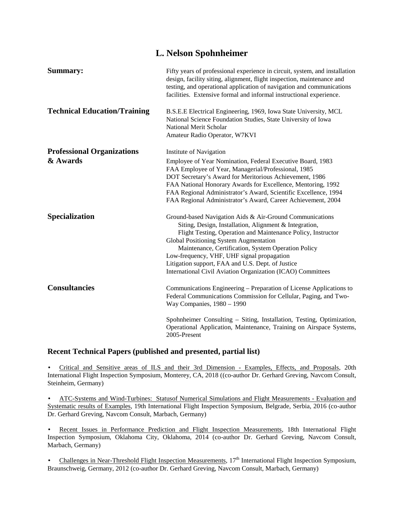| L. Nelson Spohnheimer               |                                                                                                                                                                                                                                                                                                                                                                                                                                                       |  |  |  |  |
|-------------------------------------|-------------------------------------------------------------------------------------------------------------------------------------------------------------------------------------------------------------------------------------------------------------------------------------------------------------------------------------------------------------------------------------------------------------------------------------------------------|--|--|--|--|
| Summary:                            | Fifty years of professional experience in circuit, system, and installation<br>design, facility siting, alignment, flight inspection, maintenance and<br>testing, and operational application of navigation and communications<br>facilities. Extensive formal and informal instructional experience.                                                                                                                                                 |  |  |  |  |
| <b>Technical Education/Training</b> | B.S.E.E Electrical Engineering, 1969, Iowa State University, MCL<br>National Science Foundation Studies, State University of Iowa<br>National Merit Scholar<br>Amateur Radio Operator, W7KVI                                                                                                                                                                                                                                                          |  |  |  |  |
| <b>Professional Organizations</b>   | Institute of Navigation                                                                                                                                                                                                                                                                                                                                                                                                                               |  |  |  |  |
| & Awards                            | Employee of Year Nomination, Federal Executive Board, 1983<br>FAA Employee of Year, Managerial/Professional, 1985<br>DOT Secretary's Award for Meritorious Achievement, 1986<br>FAA National Honorary Awards for Excellence, Mentoring, 1992<br>FAA Regional Administrator's Award, Scientific Excellence, 1994<br>FAA Regional Administrator's Award, Career Achievement, 2004                                                                       |  |  |  |  |
| Specialization                      | Ground-based Navigation Aids & Air-Ground Communications<br>Siting, Design, Installation, Alignment & Integration,<br>Flight Testing, Operation and Maintenance Policy, Instructor<br>Global Positioning System Augmentation<br>Maintenance, Certification, System Operation Policy<br>Low-frequency, VHF, UHF signal propagation<br>Litigation support, FAA and U.S. Dept. of Justice<br>International Civil Aviation Organization (ICAO) Committees |  |  |  |  |
| <b>Consultancies</b>                | Communications Engineering - Preparation of License Applications to<br>Federal Communications Commission for Cellular, Paging, and Two-<br>Way Companies, 1980 - 1990                                                                                                                                                                                                                                                                                 |  |  |  |  |
|                                     | Spohnheimer Consulting – Siting, Installation, Testing, Optimization,<br>Operational Application, Maintenance, Training on Airspace Systems,<br>2005-Present                                                                                                                                                                                                                                                                                          |  |  |  |  |

### **Recent Technical Papers (published and presented, partial list)**

 Critical and Sensitive areas of ILS and their 3rd Dimension - Examples, Effects, and Proposals, 20th International Flight Inspection Symposium, Monterey, CA, 2018 ((co-author Dr. Gerhard Greving, Navcom Consult, Steinheim, Germany)

 ATC-Systems and Wind-Turbines: Statusof Numerical Simulations and Flight Measurements - Evaluation and Systematic results of Examples, 19th International Flight Inspection Symposium, Belgrade, Serbia, 2016 (co-author Dr. Gerhard Greving, Navcom Consult, Marbach, Germany)

 Recent Issues in Performance Prediction and Flight Inspection Measurements, 18th International Flight Inspection Symposium, Oklahoma City, Oklahoma, 2014 (co-author Dr. Gerhard Greving, Navcom Consult, Marbach, Germany)

Challenges in Near-Threshold Flight Inspection Measurements, 17<sup>th</sup> International Flight Inspection Symposium, Braunschweig, Germany, 2012 (co-author Dr. Gerhard Greving, Navcom Consult, Marbach, Germany)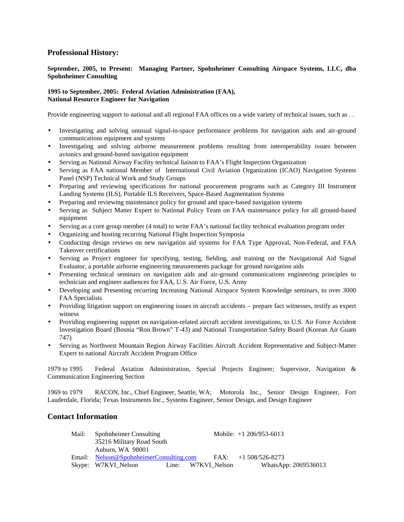#### **Professional History:**

#### **September, 2005, to Present: Managing Partner, Spohnheimer Consulting Airspace Systems, LLC, dba Spohnheimer Consulting**

#### **1995 to September, 2005: Federal Aviation Administration (FAA), National Resource Engineer for Navigation**

Provide engineering support to national and all regional FAA offices on a wide variety of technical issues, such as . .

- Investigating and solving unusual signal-in-space performance problems for navigation aids and air-ground communications equipment and systems
- Investigating and solving airborne measurement problems resulting from interoperability issues between avionics and ground-based navigation equipment
- Serving as National Airway Facility technical liaison to FAA's Flight Inspection Organization
- Serving as FAA national Member of International Civil Aviation Organization (ICAO) Navigation Systems Panel (NSP) Technical Work and Study Groups
- Preparing and reviewing specifications for national procurement programs such as Category III Instrument Landing Systems (ILS), Portable ILS Receivers, Space-Based Augmentation Systems
- Preparing and reviewing maintenance policy for ground and space-based navigation systems
- Serving as Subject Matter Expert to National Policy Team on FAA maintenance policy for all ground-based equipment
- Serving as a core group member (4 total) to write FAA's national facility technical evaluation program order
- Organizing and hosting recurring National Flight Inspection Symposia
- Conducting design reviews on new navigation aid systems for FAA Type Approval, Non-Federal, and FAA Takeover certifications
- Serving as Project engineer for specifying, testing, fielding, and training on the Navigational Aid Signal Evaluator, a portable airborne engineering measurements package for ground navigation aids
- Presenting technical seminars on navigation aids and air-ground communications engineering principles to technician and engineer audiences for FAA, U.S. Air Force, U.S. Army
- Developing and Presenting recurring Increasing National Airspace System Knowledge seminars, to over 3000 FAA Specialists
- Providing litigation support on engineering issues in aircraft accidents prepare fact witnesses, testify as expert witness
- Providing engineering support on navigation-related aircraft accident investigations, to U.S. Air Force Accident Investigation Board (Bosnia "Ron Brown" T-43) and National Transportation Safety Board (Korean Air Guam 747)
- Serving as Northwest Mountain Region Airway Facilities Aircraft Accident Representative and Subject-Matter Expert to national Aircraft Accident Program Office

1979 to 1995 Federal Aviation Administration, Special Projects Engineer; Supervisor, Navigation & Communication Engineering Section

1969 to 1979 RACON, Inc., Chief Engineer, Seattle, WA; Motorola Inc., Senior Design Engineer, Fort Lauderdale, Florida; Texas Instruments Inc., Systems Engineer, Senior Design, and Design Engineer

### **Contact Information**

| Mail: | Spohnheimer Consulting<br>35216 Military Road South |  |                    | Mobile: $+1$ 206/953-6013 |  |
|-------|-----------------------------------------------------|--|--------------------|---------------------------|--|
|       |                                                     |  |                    |                           |  |
|       | Auburn, WA 98001                                    |  |                    |                           |  |
|       | Email: Nelson@SpohnheimerConsulting.com             |  |                    | $FAX: +1508/526-8273$     |  |
|       | Skype: W7KVI_Nelson                                 |  | Line: W7KVI Nelson | WhatsApp: 2069536013      |  |